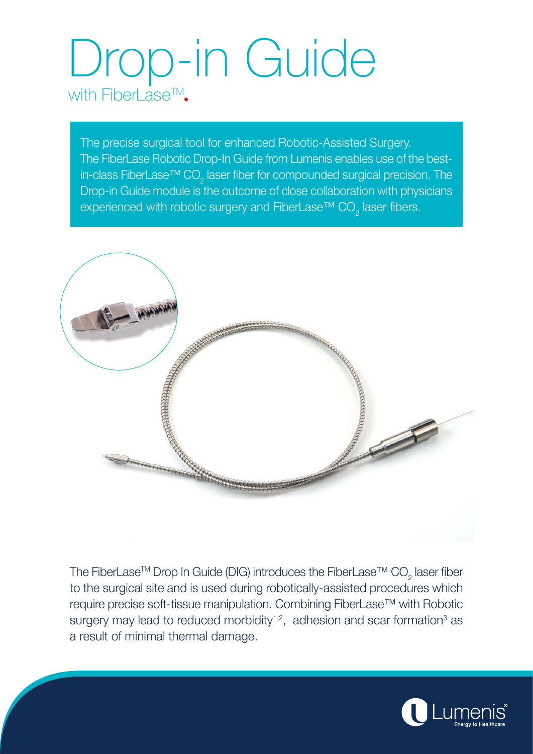# Drop-in Guide with FiberLase<sup>TM</sup>.

The precise surgical tool for enhanced Robotic-Assisted Surgery. The FiberLase Robotic Drop-In Guide from Lumenis enables use of the bestin-class FiberLase™ CO $_2$  laser fiber for compounded surgical precision. The Drop-in Guide module is the outcome of close collaboration with physicians experienced with robotic surgery and FiberLase™ CO $_2^{}$  laser fibers.



The FiberLase™ Drop In Guide (DIG) introduces the FiberLase™ CO $_2$  laser fiber to the surgical site and is used during robotically-assisted procedures which require precise soft-tissue manipulation. Combining FiberLase™ with Robotic surgery may lead to reduced morbidity<sup>1,2</sup>, adhesion and scar formation<sup>3</sup> as a result of minimal thermal damage.